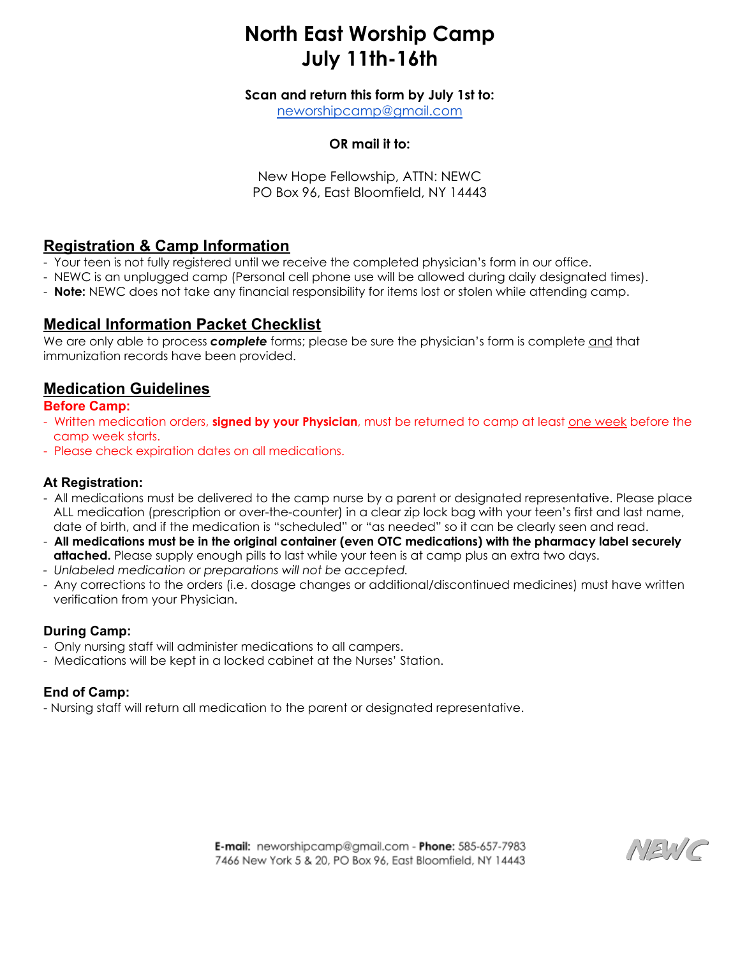# **North East Worship Camp July 11th-16th**

**Scan and return this form by July 1st to:**

[neworshipcamp@gmail.com](mailto:newworshipcamp@gmail.com)

## **OR mail it to:**

New Hope Fellowship, ATTN: NEWC PO Box 96, East Bloomfield, NY 14443

# **Registration & Camp Information**

- Your teen is not fully registered until we receive the completed physician's form in our office.
- NEWC is an unplugged camp (Personal cell phone use will be allowed during daily designated times).
- **Note:** NEWC does not take any financial responsibility for items lost or stolen while attending camp.

# **Medical Information Packet Checklist**

We are only able to process *complete* forms; please be sure the physician's form is complete and that immunization records have been provided.

# **Medication Guidelines**

#### **Before Camp:**

- Written medication orders, **signed by your Physician**, must be returned to camp at least one week before the camp week starts.
- Please check expiration dates on all medications.

#### **At Registration:**

- All medications must be delivered to the camp nurse by a parent or designated representative. Please place ALL medication (prescription or over-the-counter) in a clear zip lock bag with your teen's first and last name, date of birth, and if the medication is "scheduled" or "as needed" so it can be clearly seen and read.
- **All medications must be in the original container (even OTC medications) with the pharmacy label securely attached.** Please supply enough pills to last while your teen is at camp plus an extra two days.
- *- Unlabeled medication or preparations will not be accepted.*
- Any corrections to the orders (i.e. dosage changes or additional/discontinued medicines) must have written verification from your Physician.

## **During Camp:**

- Only nursing staff will administer medications to all campers.
- Medications will be kept in a locked cabinet at the Nurses' Station.

## **End of Camp:**

- Nursing staff will return all medication to the parent or designated representative.

E-mail: neworshipcamp@gmail.com - Phone: 585-657-7983 7466 New York 5 & 20, PO Box 96, East Bloomfield, NY 14443

NEWC